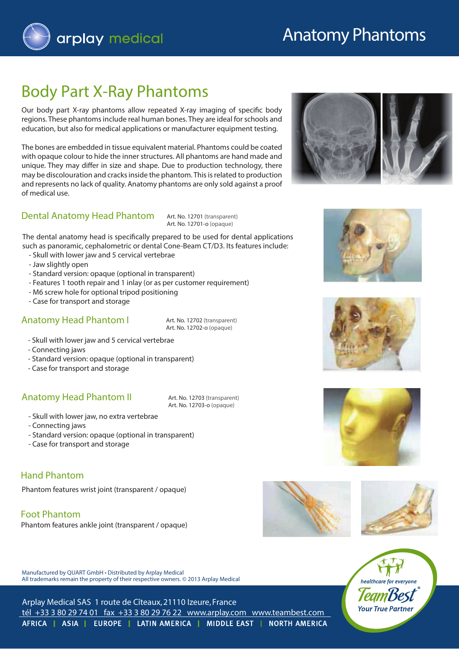

# Anatomy Phantoms

## Body Part X-Ray Phantoms

Our body part X-ray phantoms allow repeated X-ray imaging of specific body regions. These phantoms include real human bones. They are ideal for schools and education, but also for medical applications or manufacturer equipment testing.

The bones are embedded in tissue equivalent material. Phantoms could be coated with opaque colour to hide the inner structures. All phantoms are hand made and unique. They may differ in size and shape. Due to production technology, there may be discolouration and cracks inside the phantom. This is related to production and represents no lack of quality. Anatomy phantoms are only sold against a proof of medical use.

#### **Dental Anatomy Head Phantom**

Art. No. 12701 (transparent) Art. No. 12701-o (opaque)

The dental anatomy head is specifically prepared to be used for dental applications such as panoramic, cephalometric or dental Cone-Beam CT/D3. Its features include:

- Skull with lower jaw and 5 cervical vertebrae
- Jaw slightly open
- Standard version: opaque (optional in transparent)
- Features 1 tooth repair and 1 inlay (or as per customer requirement)
- M6 screw hole for optional tripod positioning
- Case for transport and storage

#### **Anatomy Head Phantom I** Art. No. 12702 (transparent)

Art. No. 12702-o (opaque)

- Skull with lower jaw and 5 cervical vertebrae
- Connecting jaws
- Standard version: opaque (optional in transparent)
- Case for transport and storage

#### **Anatomy Head Phantom II** Art. No. 12703 (transparent)

Art. No. 12703-o (opaque)

- Skull with lower jaw, no extra vertebrae
- Connecting jaws
- Standard version: opaque (optional in transparent)
- Case for transport and storage

#### **Hand Phantom**

Phantom features wrist joint (transparent / opaque)

#### **Foot Phantom**

Phantom features ankle joint (transparent / opaque)

Manufactured by QUART GmbH · Distributed by Arplay Medical







All trademarks remain the property of their respective owners. © 2013 Arplay Medical

Arplay Medical SAS 1 route de Cîteaux, 21110 Izeure, France tél +33 3 80 29 74 01 fax +33 3 80 29 76 22 www.arplay.com www.teambest.com AFRICA | ASIA | EUROPE | LATIN AMERICA | MIDDLE EAST | NORTH AMERICA